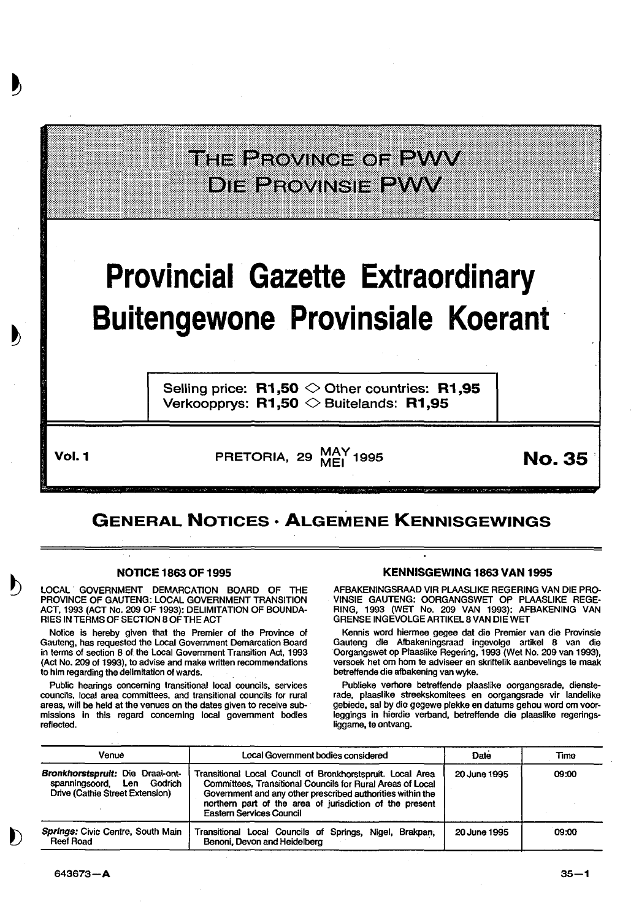|                                                                                    | THE PROVINGE OF PWW<br><b>DIE BEOVINGIE BIJV</b>                                                             |               |  |  |  |
|------------------------------------------------------------------------------------|--------------------------------------------------------------------------------------------------------------|---------------|--|--|--|
| <b>Provincial Gazette Extraordinary</b><br><b>Buitengewone Provinsiale Koerant</b> |                                                                                                              |               |  |  |  |
|                                                                                    | Selling price: $R1,50 \diamond 0$ ther countries: R1,95<br>Verkoopprys: $R1,50$ $\diamond$ Buitelands: R1,95 |               |  |  |  |
| Vol. 1                                                                             | PRETORIA, 29 MAY 1995                                                                                        | <b>No. 35</b> |  |  |  |

# GENERAL NOTICES • ALGEMENE KENNISGEWINGS

### NOTICE 1863 OF 1995

LOCAL GOVERNMENT DEMARCATION BOARD OF THE PROVINCE OF GAUTENG: LOCAL GOVERNMENT TRANSITION ACT, 1993 (ACT No. 209 OF 1993): DELIMITATION OF BOUNDA-RIES IN TERMS OF SECTION 8 OF THE ACT

Notice is hereby given that the Premier of the Province of Gauteng, has requested the Local Government Demarcation Board in terms of section 8 of the Local Government Transition Act, 1993 (Act No. 209 of 1993), to advise and make written recommendations to him regarding the delimitation of wards.

Public hearings concerning transitional local councils, services councils, local area committees, and transitional councils for rural areas, will be held at the venues on the dates given to receive submissions in this regard concerning local government bodies reflected.

## KENNISGEWING 1863 VAN 1995

AFBAKENINGSRAAD VIR PLAASLIKE REGERING VAN DIE PRO-VINSIE GAUTENG: OORGANGSWET OP PLAASLIKE REGE-RING, 1993 (WET No. 209 VAN 1993): AFBAKENING VAN GRENSE INGEVOLGE ARTIKEL 8 VAN DIE WET

Kennis word hiermee gegee dat die Premier van die Provinsie Gauteng die Afbakeningsraad ingevolge artikel 8 van die Oorgangswet op Plaaslike Regering, 1993 (Wet No. 209 van 1993), versoek het om hom te adviseer en skriftelik aanbevelings te maak betreffende die afbakening van wyke.

Publieke verhore betreffende plaaslike oorgangsrade, diensterade, plaaslike streekskomitees en oorgangsrade vir landelike gebiede, sal by die gegewe plekke en datums gehou word om voorleggings in hierdie verband, betreffende die plaaslike regeringsliggame, te ontvang.

| Venue<br>Local Government bodies considered                                                       |                                                                                                                                                                                                                                                                                       | Date         | Time  |
|---------------------------------------------------------------------------------------------------|---------------------------------------------------------------------------------------------------------------------------------------------------------------------------------------------------------------------------------------------------------------------------------------|--------------|-------|
| Bronkhorstspruit: Die Draai-ont-<br>spanningsoord. Len Godrich<br>Drive (Cathie Street Extension) | Transitional Local Council of Bronkhorstspruit. Local Area<br>Committees, Transitional Councils for Rural Areas of Local<br>Government and any other prescribed authorities within the<br>northern part of the area of jurisdiction of the present<br><b>Eastern Services Council</b> | 20 June 1995 | 09:00 |
| Springs: Civic Centre, South Main<br>Reef Road                                                    | Transitional Local Councils of Springs, Nigel, Brakpan,<br>Benoni, Devon and Heidelberg                                                                                                                                                                                               | 20 June 1995 | 09:00 |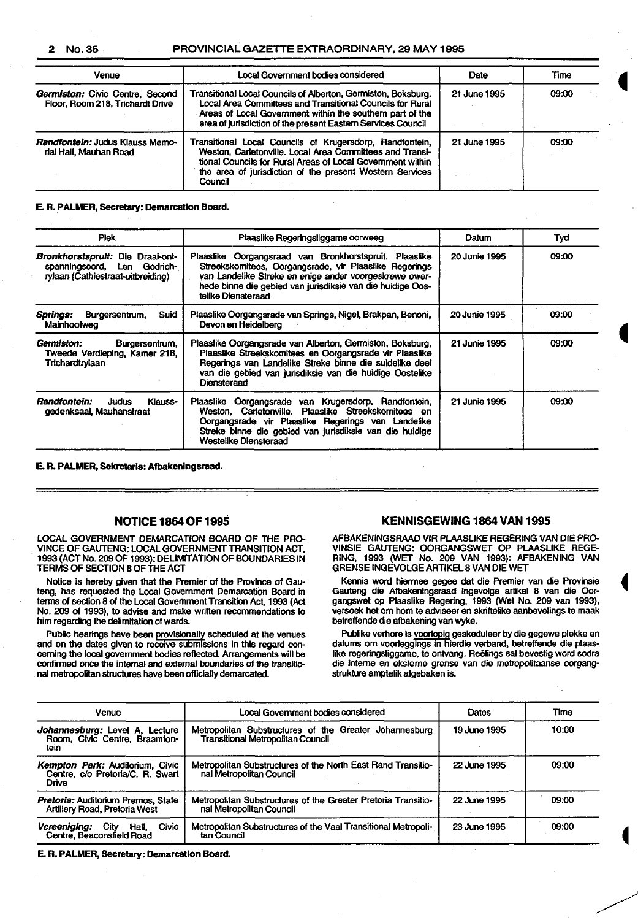#### 2 No.35 PROVINCIAL GAZETTE EXTRAORDINARY, 29 MAY 1995

| <b>Venue</b>                                                               | Local Government bodies considered                                                                                                                                                                                                                        | Date         | Time  |
|----------------------------------------------------------------------------|-----------------------------------------------------------------------------------------------------------------------------------------------------------------------------------------------------------------------------------------------------------|--------------|-------|
| <b>Germiston: Civic Centre, Second</b><br>Floor, Room 218, Trichardt Drive | Transitional Local Councils of Alberton, Germiston, Boksburg.<br>Local Area Committees and Transitional Councils for Rural<br>Areas of Local Government within the southern part of the<br>area of jurisdiction of the present Eastern Services Council   | 21 June 1995 | 09:00 |
| <b>Randfontein: Judus Klauss Memo-</b><br>rial Hall, Mauhan Road           | Transitional Local Councils of Krugersdorp, Randfontein,<br>Weston, Carletonville. Local Area Committees and Transi-<br>tional Councils for Rural Areas of Local Government within<br>the area of jurisdiction of the present Western Services<br>Council | 21 June 1995 | 09:00 |

#### E. R. PALMER, Secretary: Demarcation Board.

| <b>Plek</b>                                                                                          | Plaaslike Regeringsliggame oorweeg                                                                                                                                                                                                                             | Datum                | Tyd   |  |
|------------------------------------------------------------------------------------------------------|----------------------------------------------------------------------------------------------------------------------------------------------------------------------------------------------------------------------------------------------------------------|----------------------|-------|--|
| Bronkhorstspruit: Die Draai-ont-<br>spanningsoord, Len Godrich-<br>rylaan (Cathiestraat-uitbreiding) | Plaaslike Oorgangsraad van Bronkhorstspruit. Plaaslike<br>Streekskomitees, Oorgangsrade, vir Plaaslike Regerings<br>van Landelike Streke en enige ander voorgeskrewe ower-<br>hede binne die gebied van jurisdiksie van die huidige Oos-<br>telike Diensteraad | 20 Junie 1995        | 09:00 |  |
| <b>Springs:</b><br>Suid<br>Burgersentrum,<br>Mainhoofweg                                             | Plaaslike Oorgangsrade van Springs, Nigel, Brakpan, Benoni,<br>Devon en Heidelberg                                                                                                                                                                             | <b>20 Junie 1995</b> | 09:00 |  |
| Germiston:<br>Burgersentrum,<br>Tweede Verdieping, Kamer 218,<br>Trichardtrylaan                     | Plaaslike Oorgangsrade van Alberton, Germiston, Boksburg,<br>Plaaslike Streekskomitees en Oorgangsrade vir Plaaslike<br>Regerings van Landelike Streke binne die suidelike deel<br>van die gebied van jurisdiksie van die huidige Oostelike<br>Diensteraad     | 21 Junie 1995        | 09:00 |  |
| Randfontein:<br>Judus<br>Klauss-<br>gedenksaal, Mauhanstraat                                         | Plaaslike Oorgangsrade van Krugersdorp, Randfontein,<br>Weston, Carletonville, Plaaslike Streekskomitees en<br>Oorgangsrade vir Plaaslike Regerings van Landelike<br>Streke binne die gebied van jurisdiksie van die huidige<br><b>Westelike Diensteraad</b>   | 21 Junie 1995        | 09:00 |  |

E. R. PALMER, Sekretaris: Afbakeningsraad.

## NOTICE 1864 OF 1995

LOCAL GOVERNMENT DEMARCATION BOARD OF THE PRO-VINCE OF GAUTENG: LOCAL GOVERNMENT TRANSITION ACT, 1993 (ACT No. 209 OF 1993): DELIMITATION OF BOUNDARIES IN TERMS OF SECTION 8 OF THE ACT

Notice is hereby given that the Premier of the Province of Gauteng, has requested the Local Government Demarcation Board in terms of section 8 of the Local Government Transition Act, 1993 (Act No. 209 of 1993), to advise and make written recommendations to him regarding the delimitation of wards.

Public hearings have been provisionally scheduled at the venues and on the dates given to receive submissions in this regard concerning the local government bodies reflected. Arrangements will be confirmed once the internal and external boundaries of the transitional metropolitan structures have been officially demarcated.

#### KENNISGEWING 1864 VAN 1995

AFBAKENINGSRAAD VIR PLAASLIKE REGERING VAN DIE PRO-VINSIE GAUTENG: OORGANGSWET OP PLAASLIKE REGE-RING, 1993 (WET No. 209 VAN 1993): AFBAKENING VAN GRENSE INGEVOLGE ARTIKEL 8 VAN DIE WET

Kennis word hiermee gegee dat die Premier van die Provinsie Gauteng die Albakeningsraad ingevolge artikel 8 van die Oorgangswet op Plaaslike Regering, 1993 (Wet No. 209 van 1993), versoek het om hom te adviseer en skriflelike aanbevelings te maak betreffende die afbakening van wyke.

Publike verhore is voorlopig geskeduleer by die gegewe plekke en datums om voorleggings in hierdie verband, betreffende die plaaslike regeringsliggame, te ontvang. Reëlings sal bevestig word sodra die interne en eksteme grense van die metropolitaanse oorgangstrukture amptelik afgebaken is.

| Venue                                                                        | Local Government bodies considered                                                                 | Dates        | Time  |
|------------------------------------------------------------------------------|----------------------------------------------------------------------------------------------------|--------------|-------|
| Johannesburg: Level A. Lecture<br>Room, Civic Centre, Braamfon-<br>tein      | Metropolitan Substructures of the Greater Johannesburg<br><b>Transitional Metropolitan Council</b> | 19 June 1995 | 10:00 |
| Kempton Park: Auditorium, Civic<br>Centre, c/o Pretoria/C. R. Swart<br>Drive | Metropolitan Substructures of the North East Rand Transitio-<br>nal Metropolitan Council           | 22 June 1995 | 09:00 |
| <b>Pretoria: Auditorium Premos, State</b><br>Artillery Road, Pretoria West   | Metropolitan Substructures of the Greater Pretoria Transitio-<br>nal Metropolitan Council          | 22 June 1995 | 09:00 |
| Civic<br>Vereeniging:<br>City<br>Hail.<br>Centre, Beaconsfield Road          | Metropolitan Substructures of the Vaal Transitional Metropoli-<br>tan Council                      | 23 June 1995 | 09:00 |

E. R. PALMER, Secretary: Demarcation Board.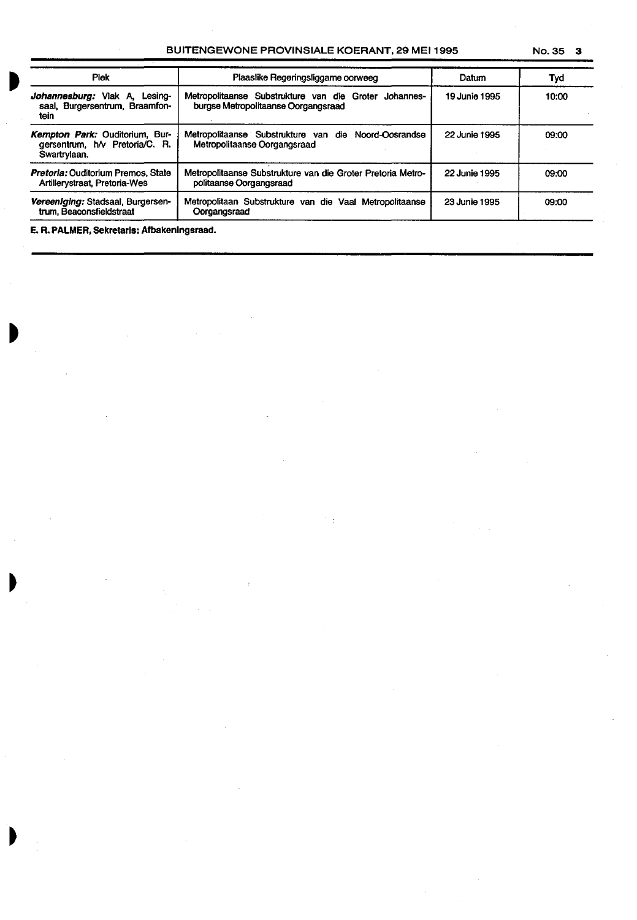## BUITENGEWONE PROVINSIALE KOERANT, 29 MEI 1995

| No. 35 |  |  |
|--------|--|--|
|--------|--|--|

| <b>Piek</b>                                                                      | Plaaslike Regeringsliggame oorweeg                                                           | Datum                | Tyd   |  |
|----------------------------------------------------------------------------------|----------------------------------------------------------------------------------------------|----------------------|-------|--|
| Johannesburg: Vlak A. Lesing-<br>saal, Burgersentrum, Braamfon-<br>tein          | Metropolitaanse Substrukture van die Groter Johannes-<br>burgse Metropolitaanse Oorgangsraad | 19 Junie 1995        | 10:00 |  |
| Kempton Park: Ouditorium, Bur-<br>gersentrum, h/v Pretoria/C. R.<br>Swartrylaan. | Metropolitaanse Substrukture van die Noord-Oosrandse<br>Metropolitaanse Oorgangsraad         | <b>22 Junie 1995</b> | 09.00 |  |
| <b>Pretoria: Ouditorium Premos, State</b><br>Artillerystraat, Pretoria-Wes       | Metropolitaanse Substrukture van die Groter Pretoria Metro-<br>politaanse Oorgangsraad       | <b>22 Junie 1995</b> | 09:00 |  |
| Vereenlaina: Stadsaal, Burgersen-<br>trum, Beaconsfieldstraat                    | Metropolitaan Substrukture van die Vaal Metropolitaanse<br>Oorgangsraad                      | 23 Junie 1995        | 09:00 |  |

**E. R. PALMER,** Sekretarls: Afbakenlngsraad.